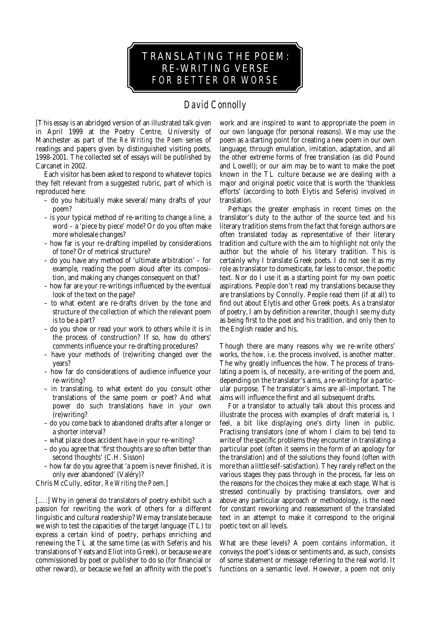

## *David Connolly*

[This essay is an abridged version of an illustrated talk given in April 1999 at the Poetry Centre, University of Manchester as part of the *Re Writing the Poem* series of readings and papers given by distinguished visiting poets, 1998-2001. The collected set of essays will be published by Carcanet in 2002.

Each visitor has been asked to respond to whatever topics they felt relevant from a suggested rubric, part of which is reproduced here:

- do you habitually make several/many drafts of your poem?
- is your typical method of re-writing to change a line, a word – a 'piece by piece' mode? Or do you often make more wholesale changes?
- how far is your re-drafting impelled by considerations of tone? Or of metrical structure?
- do you have any method of 'ultimate arbitration' for example, reading the poem aloud after its composition, and making any changes consequent on that?
- how far are your re-writings influenced by the eventual look of the text on the page?
- to what extent are re-drafts driven by the tone and structure of the collection of which the relevant poem is to be a part?
- do you show or read your work to others while it is in the process of construction? If so, how do others' comments influence your re-drafting procedures?
- have your methods of (re)writing changed over the years?
- how far do considerations of audience influence your re-writing?
- in translating, to what extent do you consult other translations of the same poem or poet? And what power do such translations have in your own (re)writing?
- do you come back to abandoned drafts after a longer or a shorter interval?
- what place does accident have in your re-writing?
- do you agree that 'first thoughts are so often better than second thoughts' (C.H. Sisson)
- how far do you agree that 'a poem is never finished, it is only ever abandoned' (Valéry)?

Chris McCully, editor, *Re Writing the Poem.*]

[....] Why in general do translators of poetry exhibit such a passion for rewriting the work of others for a different linguistic and cultural readership? We may translate because we wish to test the capacities of the target language (TL) to express a certain kind of poetry, perhaps enriching and renewing the TL at the same time (as with Seferis and his translations of Yeats and Eliot into Greek), or because we are commissioned by poet or publisher to do so (for financial or other reward), or because we feel an affinity with the poet's work and are inspired to want to appropriate the poem in our own language (for personal reasons). We may use the poem as a starting point for creating a new poem in our own language, through emulation, imitation, adaptation, and all the other extreme forms of free translation (as did Pound and Lowell); or our aim may be to want to make the poet known in the TL culture because we are dealing with a major and original poetic voice that is worth the 'thankless efforts' (according to both Elytis and Seferis) involved in translation.

Perhaps the greater emphasis in recent times on the translator's duty to the author of the source text and *his* literary tradition stems from the fact that foreign authors are often translated today as representative of their literary tradition and culture with the aim to highlight not only the author but the whole of his literary tradition. This is certainly why I translate Greek poets. I do not see it as my role as translator to domesticate, far less to censor, the poetic text. Nor do I use it as a starting point for my own poetic aspirations. People don't read my translations because they are translations by Connolly. People read them (if at all) to find out about Elytis and other Greek poets. As a translator of poetry, I am by definition a rewriter, though I see my duty as being first to the poet and his tradition, and only then to the English reader and his.

Though there are many reasons *why* we re-write others' works, the *how,* i.e. the process involved, is another matter. The why greatly influences the how. The process of translating a poem is, of necessity, a re-writing of the poem and, depending on the translator's aims, a re-writing for a particular purpose. The translator's aims are all-important. The aims will influence the first and all subsequent drafts.

For a translator to actually talk about this process and illustrate the process with examples of draft material is, I feel, a bit like displaying one's dirty linen in public. Practising translators (one of whom I claim to be) tend to write of the specific problems they encounter in translating a particular poet (often it seems in the form of an apology for the translation) and of the solutions they found (often with more than a little self-satisfaction). They rarely reflect on the various stages they pass through in the process, far less on the reasons for the choices they make at each stage. What is stressed continually by practising translators, over and above any particular approach or methodology, is the need for constant reworking and reassessment of the translated text in an attempt to make it correspond to the original poetic text on all levels.

What are these levels? A poem contains information, it conveys the poet's ideas or sentiments and, as such, consists of some statement or message referring to the real world. It functions on a semantic level. However, a poem not only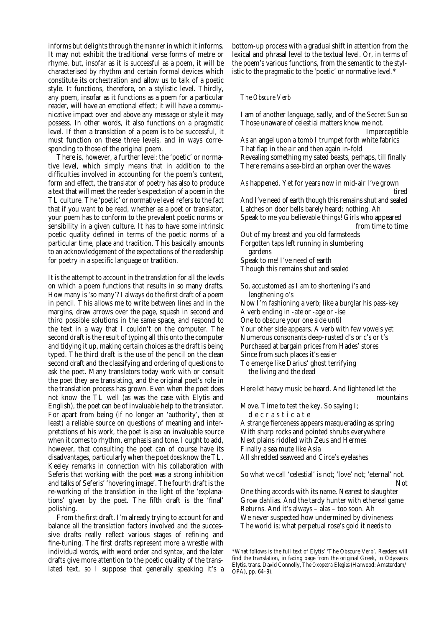informs but delights through the *manner* in which it informs. It may not exhibit the traditional verse forms of metre or rhyme, but, insofar as it is successful as a poem, it will be characterised by rhythm and certain formal devices which constitute its orchestration and allow us to talk of a poetic style. It functions, therefore, on a stylistic level. Thirdly, any poem, insofar as it functions as a poem for a particular reader, will have an emotional effect; it will have a communicative impact over and above any message or style it may possess. In other words, it also functions on a pragmatic level. If then a translation of a poem is to be successful, it must function on these three levels, and in ways corresponding to those of the original poem.

There is, however, a further level: the 'poetic' or normative level, which simply means that in addition to the difficulties involved in accounting for the poem's content, form and effect, the translator of poetry has also to produce a text that will meet the reader's expectation of a poem in the TL culture. The 'poetic' or normative level refers to the fact that if you want to be read, whether as a poet or translator, your poem has to conform to the prevalent poetic norms or sensibility in a given culture. It has to have some intrinsic poetic quality defined in terms of the poetic norms of a particular time, place and tradition. This basically amounts to an acknowledgement of the expectations of the readership for poetry in a specific language or tradition.

It is the attempt to account in the translation for all the levels on which a poem functions that results in so many drafts. How many is 'so many'? I always do the first draft of a poem in pencil. This allows me to write between lines and in the margins, draw arrows over the page, squash in second and third possible solutions in the same space, and respond to the text in a way that I couldn't on the computer. The second draft is the result of typing all this onto the computer and tidying it up, making certain choices as the draft is being typed. The third draft is the use of the pencil on the clean second draft and the classifying and ordering of questions to ask the poet. Many translators today work with or consult the poet they are translating, and the original poet's role in the translation process has grown. Even when the poet does not know the TL well (as was the case with Elytis and English), the poet can be of invaluable help to the translator. For apart from being (if no longer an 'authority', then at least) a reliable source on questions of meaning and interpretations of his work, the poet is also an invaluable source when it comes to rhythm, emphasis and tone. I ought to add, however, that consulting the poet can of course have its disadvantages, particularly when the poet *does* know the TL. Keeley remarks in connection with his collaboration with Seferis that working with the poet was a strong inhibition and talks of Seferis' 'hovering image'. The fourth draft is the re-working of the translation in the light of the 'explanations' given by the poet. The fifth draft is the 'final' polishing.

From the first draft, I'm already trying to account for and balance all the translation factors involved and the successive drafts really reflect various stages of refining and fine-tuning. The first drafts represent more a wrestle with individual words, with word order and syntax, and the later drafts give more attention to the poetic quality of the translated text, so I suppose that generally speaking it's a bottom-up process with a gradual shift in attention from the lexical and phrasal level to the textual level. Or, in terms of the poem's various functions, from the semantic to the stylistic to the pragmatic to the 'poetic' or normative level.\*

## *The Obscure Verb*

I am of another language, sadly, and of the Secret Sun so Those unaware of celestial matters know me not. Imperceptible As an angel upon a tomb I trumpet forth white fabrics That flap in the air and then again in-fold Revealing something my sated beasts, perhaps, till finally There remains a sea-bird an orphan over the waves

As happened. Yet for years now in mid-air I've grown tired And I've need of earth though this remains shut and sealed Latches on door bells barely heard; nothing. Ah Speak to me you believable things! Girls who appeared from time to time Out of my breast and you old farmsteads Forgotten taps left running in slumbering gardens Speak to me! I've need of earth Though this remains shut and sealed So, accustomed as I am to shortening i's and lengthening o's

Now I'm fashioning a verb; like a burglar his pass-key A verb ending in -ate or -age or -ise One to obscure your one side until Your other side appears. A verb with few vowels yet Numerous consonants deep-rusted d's or c's or t's Purchased at bargain prices from Hades' stores Since from such places it's easier To emerge like Darius' ghost terrifying

the living and the dead

Here let heavy music be heard. And lightened let the mountains

Move. Time to test the key. So saying I; d e c r a s t i c a t e

A strange fierceness appears masquerading as spring With sharp rocks and pointed shrubs everywhere Next plains riddled with Zeus and Hermes Finally a sea mute like Asia All shredded seaweed and Circe's eyelashes

So what we call 'celestial' is not; 'love' not; 'eternal' not. Not

One thing accords with its name. Nearest to slaughter Grow dahlias. And the tardy hunter with ethereal game Returns. And it's always – alas – too soon. Ah We never suspected how undermined by divineness The world is; what perpetual rose's gold it needs to

<sup>\*</sup>What follows is the full text of Elytis' 'The Obscure Verb'. Readers will find the translation, in facing page from the original Greek, in Odysseus Elytis, trans. David Connolly, *The Oxopetra Elegies* (Harwood: Amsterdam/ OPA), pp. 64–9).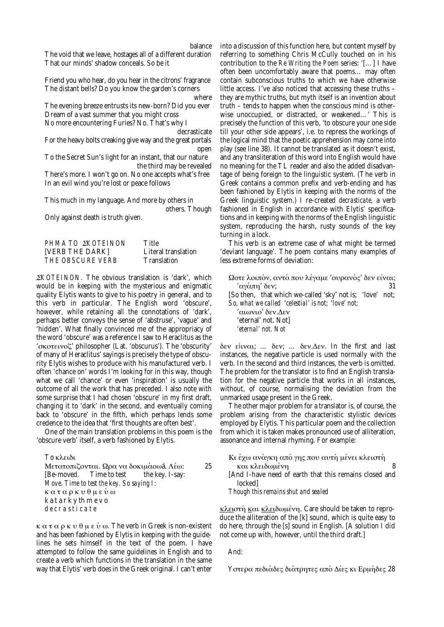balance The void that we leave, hostages all of a different duration That our minds' shadow conceals. So be it

Friend you who hear, do you hear in the citrons' fragrance The distant bells? Do you know the garden's corners

where The evening breeze entrusts its new-born? Did you ever Dream of a vast summer that you might cross No more encountering Furies? No. That's why I

decrasticate

For the heavy bolts creaking give way and the great portals open

To the Secret Sun's light for an instant, that our nature the third may be revealed

There's more. I won't go on. No one accepts what's free In an evil wind you're lost or peace follows

This much in my language. And more by others in

others. Though

Only against death is truth given.

| PHMA TO <i>EKOTEINON</i> | Title               |
|--------------------------|---------------------|
| [VERB THE DARK]          | Literal translation |
| <i>THE OBSCURE VERB</i>  | <b>Translation</b>  |

<sup>Σ</sup>*KOTEINON.* The obvious translation is 'dark', which would be in keeping with the mysterious and enigmatic quality Elytis wants to give to his poetry in general, and to this verb in particular. The English word 'obscure', however, while retaining all the connotations of 'dark', perhaps better conveys the sense of 'abstruse', 'vague' and 'hidden'. What finally convinced me of the appropriacy of the word 'obscure' was a reference I saw to Heraclitus as the 'σκοτεινοζ' philosopher (Lat. 'obscurus'). The 'obscurity' of many of Heraclitus' sayings is precisely the type of obscurity Elytis wishes to produce with his manufactured verb. I often 'chance on' words I'm looking for in this way, though what we call 'chance' or even 'inspiration' is usually the outcome of all the work that has preceded. I also note with some surprise that I had chosen 'obscure' in my first draft, changing it to 'dark' in the second, and eventually coming back to 'obscure' in the fifth, which perhaps lends some credence to the idea that 'first thoughts are often best'.

One of the main translation problems in this poem is the 'obscure verb' itself, a verb fashioned by Elytis.

| Το κλειδι                                |    |
|------------------------------------------|----|
| Μετατοπιζονται. Ωρα να δοκιμάοω ά. Λέω:  | 25 |
| [Be-moved. Time to test the key. I-say:  |    |
| Move. Time to test the key. So saying I: |    |
| καταρκυθμεύω                             |    |
| katarkythmevo                            |    |
| decrasticate                             |    |

κ α τ α ρ κ υ θ µ ε ´υ ω*.* The verb in Greek is non-existent and has been fashioned by Elytis in keeping with the guidelines he sets himself in the text of the poem. I have attempted to follow the same guidelines in English and to create a verb which functions in the translation in the same way that Elytis' verb does in the Greek original. I can't enter

into a discussion of this function here, but content myself by referring to something Chris McCully touched on in his contribution to the *Re Writing the Poem* series: '[…] I have often been uncomfortably aware that poems… may often contain subconscious truths to which we have otherwise little access. I've also noticed that accessing these truths – they are mythic truths, but myth itself is an invention about truth – tends to happen when the conscious mind is otherwise unoccupied, or distracted, or weakened…' This is precisely the function of this verb, 'to obscure your one side till your other side appears', i.e. to repress the workings of the logical mind that the poetic apprehension may come into play (see line 38). It cannot be translated as it doesn't exist, and any transliteration of this word into English would have no meaning for the TL reader and also the added disadvantage of being foreign to the linguistic system. (The verb in Greek contains a common prefix and verb-ending and has been fashioned by Elytis in keeping with the norms of the Greek linguistic system.) I re-created *decrasticate,* a verb fashioned in English in accordance with Elytis' specifications and in keeping with the norms of the English linguistic system, reproducing the harsh, rusty sounds of the key turning in a lock.

This verb is an extreme case of what might be termed 'deviant language'. The poem contains many examples of less extreme forms of deviation:

Ωοτε λοιπόν, αντό που λέγαμε 'ουρανός' δεν είναι; 'αγάπη' δεν; 31

[So then, that which we-called 'sky' not is; 'love' not; *So, what we called* '*celestial' is not;* '*love' not;*

'αιωνιο' δεν.∆εν 'eternal' not. Not] *'eternal' not. Not*

δεν εiιναι; … δεν; … δεν.∆εν. In the first and last instances, the negative particle is used normally with the verb. In the second and third instances, the verb is omitted. The problem for the translator is to find an English translation for the negative particle that works in all instances, without, of course, normalising the deviation from the unmarked usage present in the Greek.

The other major problem for a translator is, of course, the problem arising from the characteristic stylistic devices employed by Elytis. This particular poem and the collection from which it is taken makes pronounced use of alliteration, assonance and internal rhyming. For example:

| Κι έχω ανάγκη από γης που αυτή μένει κλειστή           |
|--------------------------------------------------------|
| και κλειδωμένη                                         |
| [And I-have need of earth that this remains closed and |
| lockedl                                                |
| Though this remains shut and sealed                    |

<u>κλει</u>στή και κλειδωμένη. Care should be taken to reproduce the alliteration of the [k] sound, which is quite easy to do here, through the [s] sound in English. [A solution I did not come up with, however, until the third draft.]

And:

Υστερα πεδιάδες διάτρητες από Δίες κι Ερμήδες 28